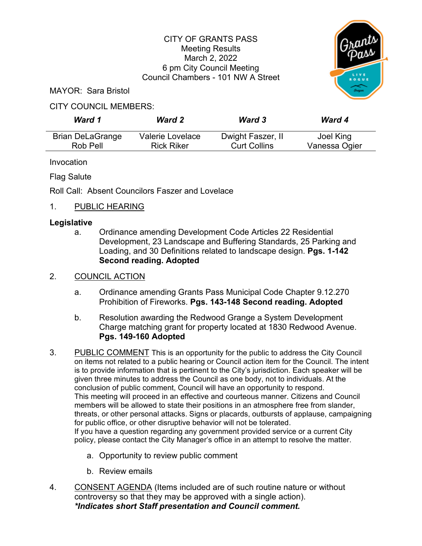## CITY OF GRANTS PASS Meeting Results March 2, 2022 6 pm City Council Meeting Council Chambers - 101 NW A Street



MAYOR: Sara Bristol

## CITY COUNCIL MEMBERS:

| Ward 1                  | <b>Ward 2</b>     | <b>Ward 3</b>       | <b>Ward 4</b> |
|-------------------------|-------------------|---------------------|---------------|
| <b>Brian DeLaGrange</b> | Valerie Lovelace  | Dwight Faszer, II   | Joel King     |
| Rob Pell                | <b>Rick Riker</b> | <b>Curt Collins</b> | Vanessa Ogier |

Invocation

Flag Salute

Roll Call: Absent Councilors Faszer and Lovelace

## 1. PUBLIC HEARING

### **Legislative**

a. Ordinance amending Development Code Articles 22 Residential Development, 23 Landscape and Buffering Standards, 25 Parking and Loading, and 30 Definitions related to landscape design. **Pgs. 1-142 Second reading. Adopted**

# 2. COUNCIL ACTION

- a. Ordinance amending Grants Pass Municipal Code Chapter 9.12.270 Prohibition of Fireworks. **Pgs. 143-148 Second reading. Adopted**
- b. Resolution awarding the Redwood Grange a System Development Charge matching grant for property located at 1830 Redwood Avenue. **Pgs. 149-160 Adopted**
- 3. PUBLIC COMMENT This is an opportunity for the public to address the City Council on items not related to a public hearing or Council action item for the Council. The intent is to provide information that is pertinent to the City's jurisdiction. Each speaker will be given three minutes to address the Council as one body, not to individuals. At the conclusion of public comment, Council will have an opportunity to respond. This meeting will proceed in an effective and courteous manner. Citizens and Council members will be allowed to state their positions in an atmosphere free from slander, threats, or other personal attacks. Signs or placards, outbursts of applause, campaigning for public office, or other disruptive behavior will not be tolerated. If you have a question regarding any government provided service or a current City policy, please contact the City Manager's office in an attempt to resolve the matter.
	- a. Opportunity to review public comment
	- b. Review emails
- 4. CONSENT AGENDA (Items included are of such routine nature or without controversy so that they may be approved with a single action). *\*Indicates short Staff presentation and Council comment.*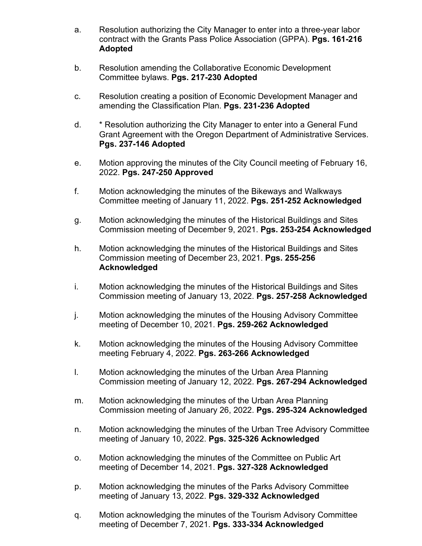- a. Resolution authorizing the City Manager to enter into a three-year labor contract with the Grants Pass Police Association (GPPA). **Pgs. 161-216 Adopted**
- b. Resolution amending the Collaborative Economic Development Committee bylaws. **Pgs. 217-230 Adopted**
- c. Resolution creating a position of Economic Development Manager and amending the Classification Plan. **Pgs. 231-236 Adopted**
- d. \* Resolution authorizing the City Manager to enter into a General Fund Grant Agreement with the Oregon Department of Administrative Services. **Pgs. 237-146 Adopted**
- e. Motion approving the minutes of the City Council meeting of February 16, 2022. **Pgs. 247-250 Approved**
- f. Motion acknowledging the minutes of the Bikeways and Walkways Committee meeting of January 11, 2022. **Pgs. 251-252 Acknowledged**
- g. Motion acknowledging the minutes of the Historical Buildings and Sites Commission meeting of December 9, 2021. **Pgs. 253-254 Acknowledged**
- h. Motion acknowledging the minutes of the Historical Buildings and Sites Commission meeting of December 23, 2021. **Pgs. 255-256 Acknowledged**
- i. Motion acknowledging the minutes of the Historical Buildings and Sites Commission meeting of January 13, 2022. **Pgs. 257-258 Acknowledged**
- j. Motion acknowledging the minutes of the Housing Advisory Committee meeting of December 10, 2021. **Pgs. 259-262 Acknowledged**
- k. Motion acknowledging the minutes of the Housing Advisory Committee meeting February 4, 2022. **Pgs. 263-266 Acknowledged**
- l. Motion acknowledging the minutes of the Urban Area Planning Commission meeting of January 12, 2022. **Pgs. 267-294 Acknowledged**
- m. Motion acknowledging the minutes of the Urban Area Planning Commission meeting of January 26, 2022. **Pgs. 295-324 Acknowledged**
- n. Motion acknowledging the minutes of the Urban Tree Advisory Committee meeting of January 10, 2022. **Pgs. 325-326 Acknowledged**
- o. Motion acknowledging the minutes of the Committee on Public Art meeting of December 14, 2021. **Pgs. 327-328 Acknowledged**
- p. Motion acknowledging the minutes of the Parks Advisory Committee meeting of January 13, 2022. **Pgs. 329-332 Acknowledged**
- q. Motion acknowledging the minutes of the Tourism Advisory Committee meeting of December 7, 2021. **Pgs. 333-334 Acknowledged**